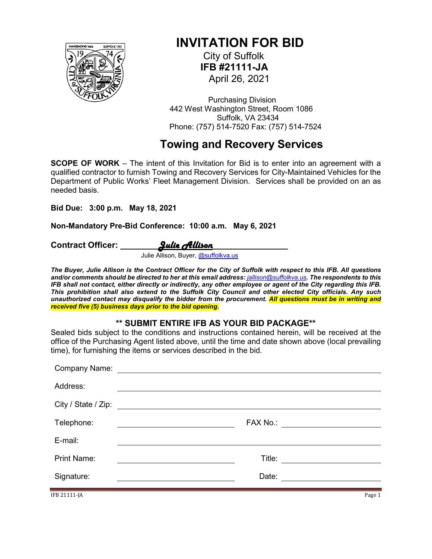

# **INVITATION FOR BID**

 City of Suffolk  **IFB #21111-JA** April 26, 2021

 Purchasing Division 442 West Washington Street, Room 1086 Suffolk, VA 23434 Phone: (757) 514-7520 Fax: (757) 514-7524

# **Towing and Recovery Services**

**SCOPE OF WORK** – The intent of this Invitation for Bid is to enter into an agreement with a qualified contractor to furnish Towing and Recovery Services for City-Maintained Vehicles for the Department of Public Works' Fleet Management Division. Services shall be provided on an as needed basis.

**Bid Due: 3:00 p.m. May 18, 2021**

**Non-Mandatory Pre-Bid Conference: 10:00 a.m. May 6, 2021**

Contract Officer: **Quie Allison** 

Julie Allison, Buyer, [@suffolkva.us](mailto:atrahan@suffolkva.us)

*The Buyer, Julie Allison is the Contract Officer for the City of Suffolk with respect to this IFB. All questions and/or comments should be directed to her at this email address: [jallison@suffolkva.us](mailto:jallison@suffolkva.us). The respondents to this IFB shall not contact, either directly or indirectly, any other employee or agent of the City regarding this IFB. This prohibition shall also extend to the Suffolk City Council and other elected City officials. Any such unauthorized contact may disqualify the bidder from the procurement. All questions must be in writing and received five (5) business days prior to the bid opening.*

#### **\*\* SUBMIT ENTIRE IFB AS YOUR BID PACKAGE\*\***

Sealed bids subject to the conditions and instructions contained herein, will be received at the office of the Purchasing Agent listed above, until the time and date shown above (local prevailing time), for furnishing the items or services described in the bid.

| Company Name:       | <u> 1989 - Andrea Andrew Maria (h. 1989).</u>                                                                         |                                |
|---------------------|-----------------------------------------------------------------------------------------------------------------------|--------------------------------|
| Address:            |                                                                                                                       |                                |
| City / State / Zip: | <u> 1989 - Andrea State Barbara, amerikan personal di sebagai personal di sebagai personal di sebagai personal di</u> |                                |
| Telephone:          |                                                                                                                       | FAX No.: _____________________ |
| E-mail:             |                                                                                                                       |                                |
| <b>Print Name:</b>  |                                                                                                                       | Title: ________________        |
| Signature:          |                                                                                                                       |                                |
|                     |                                                                                                                       |                                |

IFB 21111-JA Page 1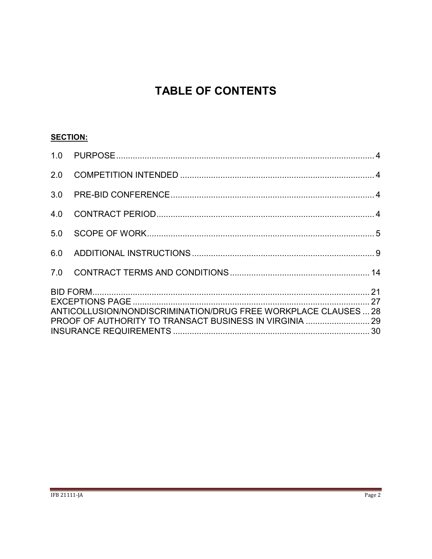# **TABLE OF CONTENTS**

## **SECTION:**

| 2.0 |                                                                 |  |
|-----|-----------------------------------------------------------------|--|
|     |                                                                 |  |
| 4.0 |                                                                 |  |
| 5.0 |                                                                 |  |
| 6.0 |                                                                 |  |
|     |                                                                 |  |
|     | ANTICOLLUSION/NONDISCRIMINATION/DRUG FREE WORKPLACE CLAUSES  28 |  |
|     |                                                                 |  |
|     |                                                                 |  |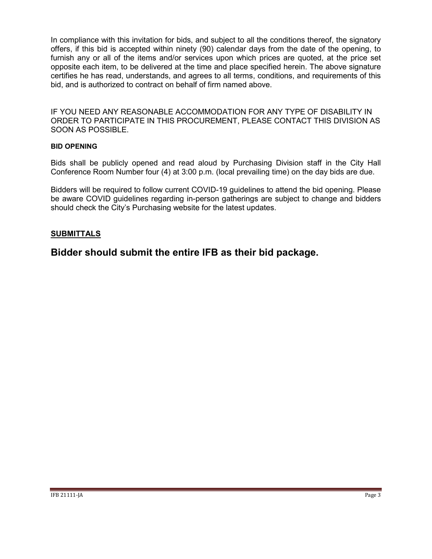In compliance with this invitation for bids, and subject to all the conditions thereof, the signatory offers, if this bid is accepted within ninety (90) calendar days from the date of the opening, to furnish any or all of the items and/or services upon which prices are quoted, at the price set opposite each item, to be delivered at the time and place specified herein. The above signature certifies he has read, understands, and agrees to all terms, conditions, and requirements of this bid, and is authorized to contract on behalf of firm named above.

IF YOU NEED ANY REASONABLE ACCOMMODATION FOR ANY TYPE OF DISABILITY IN ORDER TO PARTICIPATE IN THIS PROCUREMENT, PLEASE CONTACT THIS DIVISION AS SOON AS POSSIBLE.

#### **BID OPENING**

Bids shall be publicly opened and read aloud by Purchasing Division staff in the City Hall Conference Room Number four (4) at 3:00 p.m. (local prevailing time) on the day bids are due.

Bidders will be required to follow current COVID-19 guidelines to attend the bid opening. Please be aware COVID guidelines regarding in-person gatherings are subject to change and bidders should check the City's Purchasing website for the latest updates.

#### **SUBMITTALS**

**Bidder should submit the entire IFB as their bid package.**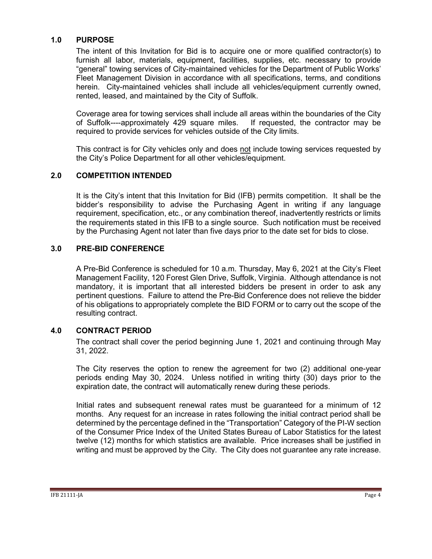#### <span id="page-3-0"></span>**1.0 PURPOSE**

The intent of this Invitation for Bid is to acquire one or more qualified contractor(s) to furnish all labor, materials, equipment, facilities, supplies, etc. necessary to provide "general" towing services of City-maintained vehicles for the Department of Public Works' Fleet Management Division in accordance with all specifications, terms, and conditions herein. City-maintained vehicles shall include all vehicles/equipment currently owned, rented, leased, and maintained by the City of Suffolk.

Coverage area for towing services shall include all areas within the boundaries of the City of Suffolk----approximately 429 square miles. If requested, the contractor may be required to provide services for vehicles outside of the City limits.

This contract is for City vehicles only and does not include towing services requested by the City's Police Department for all other vehicles/equipment.

#### <span id="page-3-1"></span>**2.0 COMPETITION INTENDED**

It is the City's intent that this Invitation for Bid (IFB) permits competition. It shall be the bidder's responsibility to advise the Purchasing Agent in writing if any language requirement, specification, etc., or any combination thereof, inadvertently restricts or limits the requirements stated in this IFB to a single source. Such notification must be received by the Purchasing Agent not later than five days prior to the date set for bids to close.

#### <span id="page-3-2"></span>**3.0 PRE-BID CONFERENCE**

A Pre-Bid Conference is scheduled for 10 a.m. Thursday, May 6, 2021 at the City's Fleet Management Facility, 120 Forest Glen Drive, Suffolk, Virginia. Although attendance is not mandatory, it is important that all interested bidders be present in order to ask any pertinent questions. Failure to attend the Pre-Bid Conference does not relieve the bidder of his obligations to appropriately complete the BID FORM or to carry out the scope of the resulting contract.

#### <span id="page-3-3"></span>**4.0 CONTRACT PERIOD**

The contract shall cover the period beginning June 1, 2021 and continuing through May 31, 2022.

The City reserves the option to renew the agreement for two (2) additional one-year periods ending May 30, 2024. Unless notified in writing thirty (30) days prior to the expiration date, the contract will automatically renew during these periods.

Initial rates and subsequent renewal rates must be guaranteed for a minimum of 12 months.Any request for an increase in rates following the initial contract period shall be determined by the percentage defined in the "Transportation" Category of the PI-W section of the Consumer Price Index of the United States Bureau of Labor Statistics for the latest twelve (12) months for which statistics are available. Price increases shall be justified in writing and must be approved by the City. The City does not guarantee any rate increase.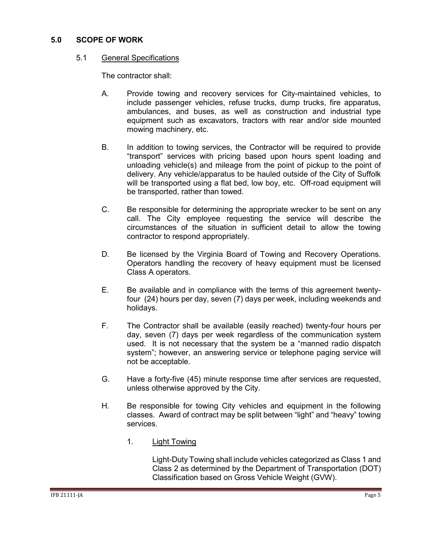#### <span id="page-4-0"></span>**5.0 SCOPE OF WORK**

#### 5.1 General Specifications

The contractor shall:

- A. Provide towing and recovery services for City-maintained vehicles, to include passenger vehicles, refuse trucks, dump trucks, fire apparatus, ambulances, and buses, as well as construction and industrial type equipment such as excavators, tractors with rear and/or side mounted mowing machinery, etc.
- B. In addition to towing services, the Contractor will be required to provide "transport" services with pricing based upon hours spent loading and unloading vehicle(s) and mileage from the point of pickup to the point of delivery. Any vehicle/apparatus to be hauled outside of the City of Suffolk will be transported using a flat bed, low boy, etc. Off-road equipment will be transported, rather than towed.
- C. Be responsible for determining the appropriate wrecker to be sent on any call. The City employee requesting the service will describe the circumstances of the situation in sufficient detail to allow the towing contractor to respond appropriately.
- D. Be licensed by the Virginia Board of Towing and Recovery Operations. Operators handling the recovery of heavy equipment must be licensed Class A operators.
- E. Be available and in compliance with the terms of this agreement twentyfour (24) hours per day, seven (7) days per week, including weekends and holidays.
- F. The Contractor shall be available (easily reached) twenty-four hours per day, seven (7) days per week regardless of the communication system used. It is not necessary that the system be a "manned radio dispatch system"; however, an answering service or telephone paging service will not be acceptable.
- G. Have a forty-five (45) minute response time after services are requested, unless otherwise approved by the City.
- H. Be responsible for towing City vehicles and equipment in the following classes. Award of contract may be split between "light" and "heavy" towing services.
	- 1. Light Towing

Light-Duty Towing shall include vehicles categorized as Class 1 and Class 2 as determined by the Department of Transportation (DOT) Classification based on Gross Vehicle Weight (GVW).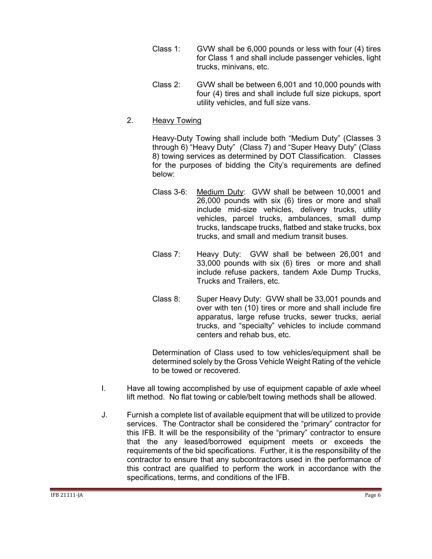- Class 1: GVW shall be 6,000 pounds or less with four (4) tires for Class 1 and shall include passenger vehicles, light trucks, minivans, etc.
- Class 2: GVW shall be between 6,001 and 10,000 pounds with four (4) tires and shall include full size pickups, sport utility vehicles, and full size vans.
- 2. Heavy Towing

Heavy-Duty Towing shall include both "Medium Duty" (Classes 3 through 6) "Heavy Duty" (Class 7) and "Super Heavy Duty" (Class 8) towing services as determined by DOT Classification. Classes for the purposes of bidding the City's requirements are defined below:

- Class 3-6: Medium Duty: GVW shall be between 10,0001 and 26,000 pounds with six (6) tires or more and shall include mid-size vehicles, delivery trucks, utility vehicles, parcel trucks, ambulances, small dump trucks, landscape trucks, flatbed and stake trucks, box trucks, and small and medium transit buses.
- Class 7: Heavy Duty: GVW shall be between 26,001 and 33,000 pounds with six (6) tires or more and shall include refuse packers, tandem Axle Dump Trucks, Trucks and Trailers, etc.
- Class 8: Super Heavy Duty: GVW shall be 33,001 pounds and over with ten (10) tires or more and shall include fire apparatus, large refuse trucks, sewer trucks, aerial trucks, and "specialty" vehicles to include command centers and rehab bus, etc.

Determination of Class used to tow vehicles/equipment shall be determined solely by the Gross Vehicle Weight Rating of the vehicle to be towed or recovered.

- I. Have all towing accomplished by use of equipment capable of axle wheel lift method. No flat towing or cable/belt towing methods shall be allowed.
- J. Furnish a complete list of available equipment that will be utilized to provide services. The Contractor shall be considered the "primary" contractor for this IFB. It will be the responsibility of the "primary" contractor to ensure that the any leased/borrowed equipment meets or exceeds the requirements of the bid specifications. Further, it is the responsibility of the contractor to ensure that any subcontractors used in the performance of this contract are qualified to perform the work in accordance with the specifications, terms, and conditions of the IFB.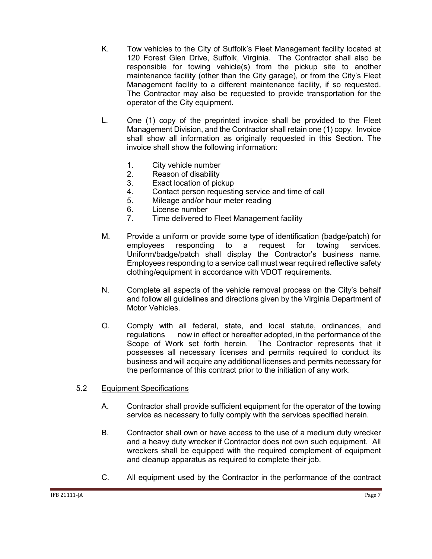- K. Tow vehicles to the City of Suffolk's Fleet Management facility located at 120 Forest Glen Drive, Suffolk, Virginia. The Contractor shall also be responsible for towing vehicle(s) from the pickup site to another maintenance facility (other than the City garage), or from the City's Fleet Management facility to a different maintenance facility, if so requested. The Contractor may also be requested to provide transportation for the operator of the City equipment.
- L. One (1) copy of the preprinted invoice shall be provided to the Fleet Management Division, and the Contractor shall retain one (1) copy. Invoice shall show all information as originally requested in this Section. The invoice shall show the following information:
	- 1. City vehicle number
	- 2. Reason of disability
	- 3. Exact location of pickup
	- 4. Contact person requesting service and time of call
	- 5. Mileage and/or hour meter reading
	- 6. License number
	- 7. Time delivered to Fleet Management facility
- M. Provide a uniform or provide some type of identification (badge/patch) for employees responding to a request for towing services. Uniform/badge/patch shall display the Contractor's business name. Employees responding to a service call must wear required reflective safety clothing/equipment in accordance with VDOT requirements.
- N. Complete all aspects of the vehicle removal process on the City's behalf and follow all guidelines and directions given by the Virginia Department of Motor Vehicles.
- O. Comply with all federal, state, and local statute, ordinances, and regulations now in effect or hereafter adopted, in the performance of the Scope of Work set forth herein. The Contractor represents that it possesses all necessary licenses and permits required to conduct its business and will acquire any additional licenses and permits necessary for the performance of this contract prior to the initiation of any work.
- 5.2 Equipment Specifications
	- A. Contractor shall provide sufficient equipment for the operator of the towing service as necessary to fully comply with the services specified herein.
	- B. Contractor shall own or have access to the use of a medium duty wrecker and a heavy duty wrecker if Contractor does not own such equipment. All wreckers shall be equipped with the required complement of equipment and cleanup apparatus as required to complete their job.
	- C. All equipment used by the Contractor in the performance of the contract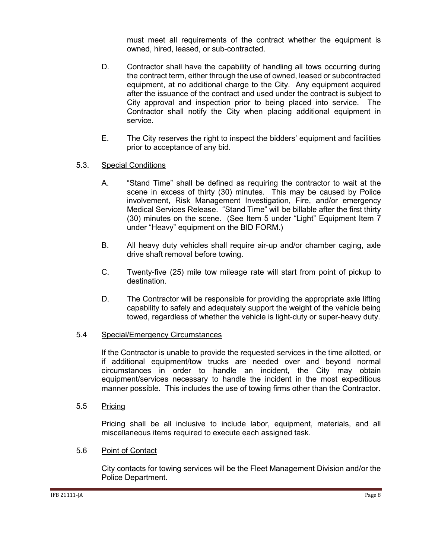must meet all requirements of the contract whether the equipment is owned, hired, leased, or sub-contracted.

- D. Contractor shall have the capability of handling all tows occurring during the contract term, either through the use of owned, leased or subcontracted equipment, at no additional charge to the City. Any equipment acquired after the issuance of the contract and used under the contract is subject to City approval and inspection prior to being placed into service. The Contractor shall notify the City when placing additional equipment in service.
- E. The City reserves the right to inspect the bidders' equipment and facilities prior to acceptance of any bid.
- 5.3. Special Conditions
	- A. "Stand Time" shall be defined as requiring the contractor to wait at the scene in excess of thirty (30) minutes. This may be caused by Police involvement, Risk Management Investigation, Fire, and/or emergency Medical Services Release. "Stand Time" will be billable after the first thirty (30) minutes on the scene. (See Item 5 under "Light" Equipment Item 7 under "Heavy" equipment on the BID FORM.)
	- B. All heavy duty vehicles shall require air-up and/or chamber caging, axle drive shaft removal before towing.
	- C. Twenty-five (25) mile tow mileage rate will start from point of pickup to destination.
	- D. The Contractor will be responsible for providing the appropriate axle lifting capability to safely and adequately support the weight of the vehicle being towed, regardless of whether the vehicle is light-duty or super-heavy duty.

#### 5.4 Special/Emergency Circumstances

If the Contractor is unable to provide the requested services in the time allotted, or if additional equipment/tow trucks are needed over and beyond normal circumstances in order to handle an incident, the City may obtain equipment/services necessary to handle the incident in the most expeditious manner possible. This includes the use of towing firms other than the Contractor.

5.5 Pricing

Pricing shall be all inclusive to include labor, equipment, materials, and all miscellaneous items required to execute each assigned task.

#### 5.6 Point of Contact

City contacts for towing services will be the Fleet Management Division and/or the Police Department.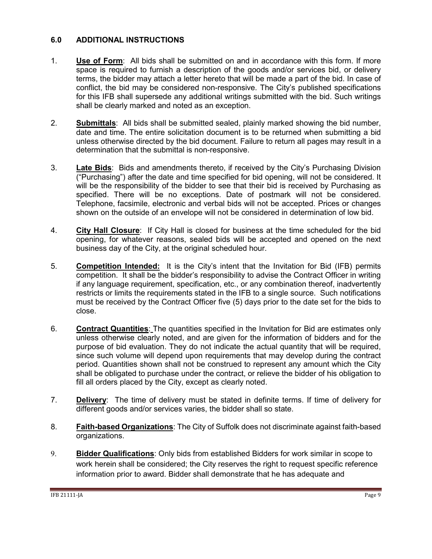#### <span id="page-8-0"></span>**6.0 ADDITIONAL INSTRUCTIONS**

- 1. **Use of Form**: All bids shall be submitted on and in accordance with this form. If more space is required to furnish a description of the goods and/or services bid, or delivery terms, the bidder may attach a letter hereto that will be made a part of the bid. In case of conflict, the bid may be considered non-responsive. The City's published specifications for this IFB shall supersede any additional writings submitted with the bid. Such writings shall be clearly marked and noted as an exception.
- 2. **Submittals**: All bids shall be submitted sealed, plainly marked showing the bid number, date and time. The entire solicitation document is to be returned when submitting a bid unless otherwise directed by the bid document. Failure to return all pages may result in a determination that the submittal is non-responsive.
- 3. **Late Bids**: Bids and amendments thereto, if received by the City's Purchasing Division ("Purchasing") after the date and time specified for bid opening, will not be considered. It will be the responsibility of the bidder to see that their bid is received by Purchasing as specified. There will be no exceptions. Date of postmark will not be considered. Telephone, facsimile, electronic and verbal bids will not be accepted. Prices or changes shown on the outside of an envelope will not be considered in determination of low bid.
- 4. **City Hall Closure**: If City Hall is closed for business at the time scheduled for the bid opening, for whatever reasons, sealed bids will be accepted and opened on the next business day of the City, at the original scheduled hour.
- 5. **Competition Intended:** It is the City's intent that the Invitation for Bid (IFB) permits competition. It shall be the bidder's responsibility to advise the Contract Officer in writing if any language requirement, specification, etc., or any combination thereof, inadvertently restricts or limits the requirements stated in the IFB to a single source. Such notifications must be received by the Contract Officer five (5) days prior to the date set for the bids to close.
- 6. **Contract Quantities**: The quantities specified in the Invitation for Bid are estimates only unless otherwise clearly noted, and are given for the information of bidders and for the purpose of bid evaluation. They do not indicate the actual quantity that will be required, since such volume will depend upon requirements that may develop during the contract period. Quantities shown shall not be construed to represent any amount which the City shall be obligated to purchase under the contract, or relieve the bidder of his obligation to fill all orders placed by the City, except as clearly noted.
- 7. **Delivery**: The time of delivery must be stated in definite terms. If time of delivery for different goods and/or services varies, the bidder shall so state.
- 8. **Faith-based Organizations**: The City of Suffolk does not discriminate against faith-based organizations.
- 9. **Bidder Qualifications**: Only bids from established Bidders for work similar in scope to work herein shall be considered; the City reserves the right to request specific reference information prior to award. Bidder shall demonstrate that he has adequate and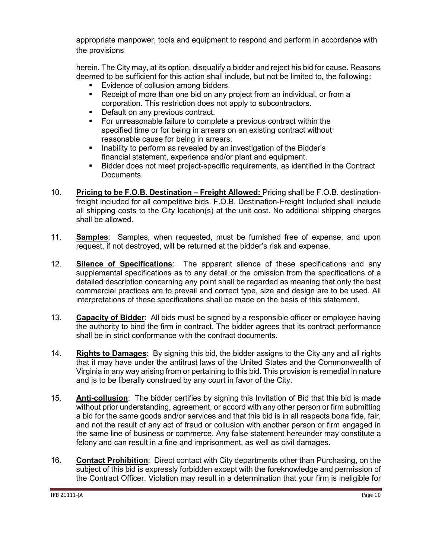appropriate manpower, tools and equipment to respond and perform in accordance with the provisions

herein. The City may, at its option, disqualify a bidder and reject his bid for cause. Reasons deemed to be sufficient for this action shall include, but not be limited to, the following:

- Evidence of collusion among bidders.
- Receipt of more than one bid on any project from an individual, or from a corporation. This restriction does not apply to subcontractors.
- Default on any previous contract.
- For unreasonable failure to complete a previous contract within the specified time or for being in arrears on an existing contract without reasonable cause for being in arrears.
- **Inability to perform as revealed by an investigation of the Bidder's** financial statement, experience and/or plant and equipment.
- Bidder does not meet project-specific requirements, as identified in the Contract **Documents**
- 10. **Pricing to be F.O.B. Destination – Freight Allowed:** Pricing shall be F.O.B. destinationfreight included for all competitive bids. F.O.B. Destination-Freight Included shall include all shipping costs to the City location(s) at the unit cost. No additional shipping charges shall be allowed.
- 11. **Samples**: Samples, when requested, must be furnished free of expense, and upon request, if not destroyed, will be returned at the bidder's risk and expense.
- 12. **Silence of Specifications**: The apparent silence of these specifications and any supplemental specifications as to any detail or the omission from the specifications of a detailed description concerning any point shall be regarded as meaning that only the best commercial practices are to prevail and correct type, size and design are to be used. All interpretations of these specifications shall be made on the basis of this statement.
- 13. **Capacity of Bidder**: All bids must be signed by a responsible officer or employee having the authority to bind the firm in contract. The bidder agrees that its contract performance shall be in strict conformance with the contract documents.
- 14. **Rights to Damages**: By signing this bid, the bidder assigns to the City any and all rights that it may have under the antitrust laws of the United States and the Commonwealth of Virginia in any way arising from or pertaining to this bid. This provision is remedial in nature and is to be liberally construed by any court in favor of the City.
- 15. **Anti-collusion**: The bidder certifies by signing this Invitation of Bid that this bid is made without prior understanding, agreement, or accord with any other person or firm submitting a bid for the same goods and/or services and that this bid is in all respects bona fide, fair, and not the result of any act of fraud or collusion with another person or firm engaged in the same line of business or commerce. Any false statement hereunder may constitute a felony and can result in a fine and imprisonment, as well as civil damages.
- 16. **Contact Prohibition**: Direct contact with City departments other than Purchasing, on the subject of this bid is expressly forbidden except with the foreknowledge and permission of the Contract Officer. Violation may result in a determination that your firm is ineligible for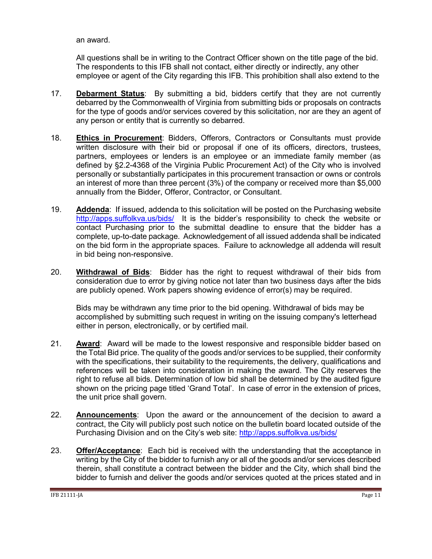an award.

All questions shall be in writing to the Contract Officer shown on the title page of the bid. The respondents to this IFB shall not contact, either directly or indirectly, any other employee or agent of the City regarding this IFB. This prohibition shall also extend to the

- 17. **Debarment Status**: By submitting a bid, bidders certify that they are not currently debarred by the Commonwealth of Virginia from submitting bids or proposals on contracts for the type of goods and/or services covered by this solicitation, nor are they an agent of any person or entity that is currently so debarred.
- 18. **Ethics in Procurement**: Bidders, Offerors, Contractors or Consultants must provide written disclosure with their bid or proposal if one of its officers, directors, trustees, partners, employees or lenders is an employee or an immediate family member (as defined by §2.2-4368 of the Virginia Public Procurement Act) of the City who is involved personally or substantially participates in this procurement transaction or owns or controls an interest of more than three percent (3%) of the company or received more than \$5,000 annually from the Bidder, Offeror, Contractor, or Consultant.
- 19. **Addenda**: If issued, addenda to this solicitation will be posted on the Purchasing website <http://apps.suffolkva.us/bids/>It is the bidder's responsibility to check the website or contact Purchasing prior to the submittal deadline to ensure that the bidder has a complete, up-to-date package. Acknowledgement of all issued addenda shall be indicated on the bid form in the appropriate spaces. Failure to acknowledge all addenda will result in bid being non-responsive.
- 20. **Withdrawal of Bids**: Bidder has the right to request withdrawal of their bids from consideration due to error by giving notice not later than two business days after the bids are publicly opened. Work papers showing evidence of error(s) may be required.

Bids may be withdrawn any time prior to the bid opening. Withdrawal of bids may be accomplished by submitting such request in writing on the issuing company's letterhead either in person, electronically, or by certified mail.

- 21. **Award**: Award will be made to the lowest responsive and responsible bidder based on the Total Bid price. The quality of the goods and/or services to be supplied, their conformity with the specifications, their suitability to the requirements, the delivery, qualifications and references will be taken into consideration in making the award. The City reserves the right to refuse all bids. Determination of low bid shall be determined by the audited figure shown on the pricing page titled 'Grand Total'. In case of error in the extension of prices, the unit price shall govern.
- 22. **Announcements**: Upon the award or the announcement of the decision to award a contract, the City will publicly post such notice on the bulletin board located outside of the Purchasing Division and on the City's web site: http://apps.suffolkva.us/bids/
- 23. **Offer/Acceptance**: Each bid is received with the understanding that the acceptance in writing by the City of the bidder to furnish any or all of the goods and/or services described therein, shall constitute a contract between the bidder and the City, which shall bind the bidder to furnish and deliver the goods and/or services quoted at the prices stated and in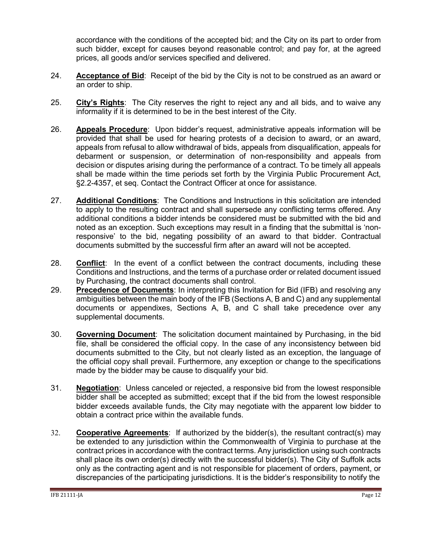accordance with the conditions of the accepted bid; and the City on its part to order from such bidder, except for causes beyond reasonable control; and pay for, at the agreed prices, all goods and/or services specified and delivered.

- 24. **Acceptance of Bid**: Receipt of the bid by the City is not to be construed as an award or an order to ship.
- 25. **City's Rights**: The City reserves the right to reject any and all bids, and to waive any informality if it is determined to be in the best interest of the City.
- 26. **Appeals Procedure**: Upon bidder's request, administrative appeals information will be provided that shall be used for hearing protests of a decision to award, or an award, appeals from refusal to allow withdrawal of bids, appeals from disqualification, appeals for debarment or suspension, or determination of non-responsibility and appeals from decision or disputes arising during the performance of a contract. To be timely all appeals shall be made within the time periods set forth by the Virginia Public Procurement Act, §2.2-4357, et seq. Contact the Contract Officer at once for assistance.
- 27. **Additional Conditions**: The Conditions and Instructions in this solicitation are intended to apply to the resulting contract and shall supersede any conflicting terms offered. Any additional conditions a bidder intends be considered must be submitted with the bid and noted as an exception. Such exceptions may result in a finding that the submittal is 'nonresponsive' to the bid, negating possibility of an award to that bidder. Contractual documents submitted by the successful firm after an award will not be accepted.
- 28. **Conflict**: In the event of a conflict between the contract documents, including these Conditions and Instructions, and the terms of a purchase order or related document issued by Purchasing, the contract documents shall control.
- 29. **Precedence of Documents**: In interpreting this Invitation for Bid (IFB) and resolving any ambiguities between the main body of the IFB (Sections A, B and C) and any supplemental documents or appendixes, Sections A, B, and C shall take precedence over any supplemental documents.
- 30. **Governing Document**: The solicitation document maintained by Purchasing, in the bid file, shall be considered the official copy. In the case of any inconsistency between bid documents submitted to the City, but not clearly listed as an exception, the language of the official copy shall prevail. Furthermore, any exception or change to the specifications made by the bidder may be cause to disqualify your bid.
- 31. **Negotiation**: Unless canceled or rejected, a responsive bid from the lowest responsible bidder shall be accepted as submitted; except that if the bid from the lowest responsible bidder exceeds available funds, the City may negotiate with the apparent low bidder to obtain a contract price within the available funds.
- 32. **Cooperative Agreements**: If authorized by the bidder(s), the resultant contract(s) may be extended to any jurisdiction within the Commonwealth of Virginia to purchase at the contract prices in accordance with the contract terms. Any jurisdiction using such contracts shall place its own order(s) directly with the successful bidder(s). The City of Suffolk acts only as the contracting agent and is not responsible for placement of orders, payment, or discrepancies of the participating jurisdictions. It is the bidder's responsibility to notify the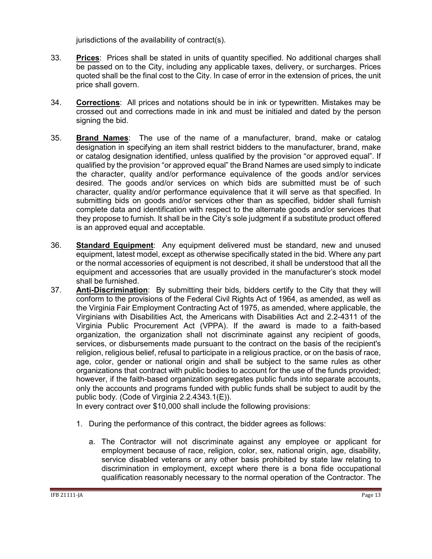jurisdictions of the availability of contract(s).

- 33. **Prices**: Prices shall be stated in units of quantity specified. No additional charges shall be passed on to the City, including any applicable taxes, delivery, or surcharges. Prices quoted shall be the final cost to the City. In case of error in the extension of prices, the unit price shall govern.
- 34. **Corrections**: All prices and notations should be in ink or typewritten. Mistakes may be crossed out and corrections made in ink and must be initialed and dated by the person signing the bid.
- 35. **Brand Names**: The use of the name of a manufacturer, brand, make or catalog designation in specifying an item shall restrict bidders to the manufacturer, brand, make or catalog designation identified, unless qualified by the provision "or approved equal". If qualified by the provision "or approved equal" the Brand Names are used simply to indicate the character, quality and/or performance equivalence of the goods and/or services desired. The goods and/or services on which bids are submitted must be of such character, quality and/or performance equivalence that it will serve as that specified. In submitting bids on goods and/or services other than as specified, bidder shall furnish complete data and identification with respect to the alternate goods and/or services that they propose to furnish. It shall be in the City's sole judgment if a substitute product offered is an approved equal and acceptable.
- 36. **Standard Equipment**: Any equipment delivered must be standard, new and unused equipment, latest model, except as otherwise specifically stated in the bid. Where any part or the normal accessories of equipment is not described, it shall be understood that all the equipment and accessories that are usually provided in the manufacturer's stock model shall be furnished.
- 37. **Anti-Discrimination**: By submitting their bids, bidders certify to the City that they will conform to the provisions of the Federal Civil Rights Act of 1964, as amended, as well as the Virginia Fair Employment Contracting Act of 1975, as amended, where applicable, the Virginians with Disabilities Act, the Americans with Disabilities Act and 2.2-4311 of the Virginia Public Procurement Act (VPPA). If the award is made to a faith-based organization, the organization shall not discriminate against any recipient of goods, services, or disbursements made pursuant to the contract on the basis of the recipient's religion, religious belief, refusal to participate in a religious practice, or on the basis of race, age, color, gender or national origin and shall be subject to the same rules as other organizations that contract with public bodies to account for the use of the funds provided; however, if the faith-based organization segregates public funds into separate accounts, only the accounts and programs funded with public funds shall be subject to audit by the public body. (Code of Virginia 2.2.4343.1(E)).

In every contract over \$10,000 shall include the following provisions:

- 1. During the performance of this contract, the bidder agrees as follows:
	- a. The Contractor will not discriminate against any employee or applicant for employment because of race, religion, color, sex, national origin, age, disability, service disabled veterans or any other basis prohibited by state law relating to discrimination in employment, except where there is a bona fide occupational qualification reasonably necessary to the normal operation of the Contractor. The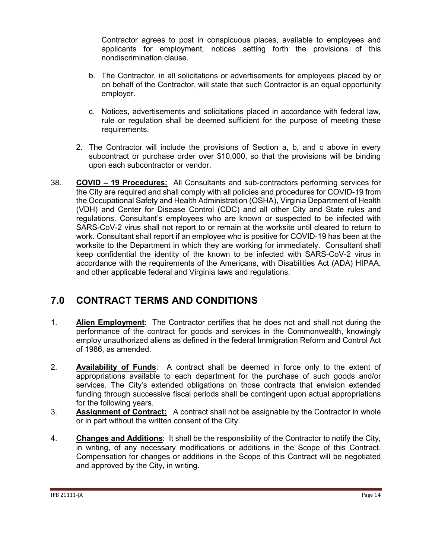Contractor agrees to post in conspicuous places, available to employees and applicants for employment, notices setting forth the provisions of this nondiscrimination clause.

- b. The Contractor, in all solicitations or advertisements for employees placed by or on behalf of the Contractor, will state that such Contractor is an equal opportunity employer.
- c. Notices, advertisements and solicitations placed in accordance with federal law, rule or regulation shall be deemed sufficient for the purpose of meeting these requirements.
- 2. The Contractor will include the provisions of Section a, b, and c above in every subcontract or purchase order over \$10,000, so that the provisions will be binding upon each subcontractor or vendor.
- 38. **COVID – 19 Procedures:** All Consultants and sub-contractors performing services for the City are required and shall comply with all policies and procedures for COVID-19 from the Occupational Safety and Health Administration (OSHA), Virginia Department of Health (VDH) and Center for Disease Control (CDC) and all other City and State rules and regulations. Consultant's employees who are known or suspected to be infected with SARS-CoV-2 virus shall not report to or remain at the worksite until cleared to return to work. Consultant shall report if an employee who is positive for COVID-19 has been at the worksite to the Department in which they are working for immediately. Consultant shall keep confidential the identity of the known to be infected with SARS-CoV-2 virus in accordance with the requirements of the Americans, with Disabilities Act (ADA) HIPAA, and other applicable federal and Virginia laws and regulations.

# <span id="page-13-0"></span>**7.0 CONTRACT TERMS AND CONDITIONS**

- 1. **Alien Employment**: The Contractor certifies that he does not and shall not during the performance of the contract for goods and services in the Commonwealth, knowingly employ unauthorized aliens as defined in the federal Immigration Reform and Control Act of 1986, as amended.
- 2. **Availability of Funds**: A contract shall be deemed in force only to the extent of appropriations available to each department for the purchase of such goods and/or services. The City's extended obligations on those contracts that envision extended funding through successive fiscal periods shall be contingent upon actual appropriations for the following years.
- 3. **Assignment of Contract:** A contract shall not be assignable by the Contractor in whole or in part without the written consent of the City.
- 4. **Changes and Additions**: It shall be the responsibility of the Contractor to notify the City, in writing, of any necessary modifications or additions in the Scope of this Contract. Compensation for changes or additions in the Scope of this Contract will be negotiated and approved by the City, in writing.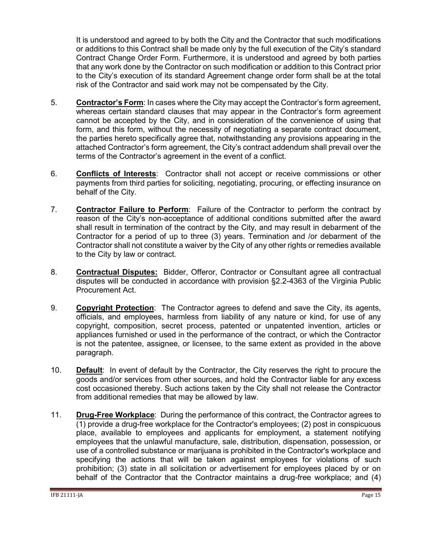It is understood and agreed to by both the City and the Contractor that such modifications or additions to this Contract shall be made only by the full execution of the City's standard Contract Change Order Form. Furthermore, it is understood and agreed by both parties that any work done by the Contractor on such modification or addition to this Contract prior to the City's execution of its standard Agreement change order form shall be at the total risk of the Contractor and said work may not be compensated by the City.

- 5. **Contractor's Form**: In cases where the City may accept the Contractor's form agreement, whereas certain standard clauses that may appear in the Contractor's form agreement cannot be accepted by the City, and in consideration of the convenience of using that form, and this form, without the necessity of negotiating a separate contract document, the parties hereto specifically agree that, notwithstanding any provisions appearing in the attached Contractor's form agreement, the City's contract addendum shall prevail over the terms of the Contractor's agreement in the event of a conflict.
- 6. **Conflicts of Interests**: Contractor shall not accept or receive commissions or other payments from third parties for soliciting, negotiating, procuring, or effecting insurance on behalf of the City.
- 7. **Contractor Failure to Perform**: Failure of the Contractor to perform the contract by reason of the City's non-acceptance of additional conditions submitted after the award shall result in termination of the contract by the City, and may result in debarment of the Contractor for a period of up to three (3) years. Termination and /or debarment of the Contractor shall not constitute a waiver by the City of any other rights or remedies available to the City by law or contract.
- 8. **Contractual Disputes:** Bidder, Offeror, Contractor or Consultant agree all contractual disputes will be conducted in accordance with provision §2.2-4363 of the Virginia Public Procurement Act.
- 9. **Copyright Protection**: The Contractor agrees to defend and save the City, its agents, officials, and employees, harmless from liability of any nature or kind, for use of any copyright, composition, secret process, patented or unpatented invention, articles or appliances furnished or used in the performance of the contract, or which the Contractor is not the patentee, assignee, or licensee, to the same extent as provided in the above paragraph.
- 10. **Default**: In event of default by the Contractor, the City reserves the right to procure the goods and/or services from other sources, and hold the Contractor liable for any excess cost occasioned thereby. Such actions taken by the City shall not release the Contractor from additional remedies that may be allowed by law.
- 11. **Drug-Free Workplace**: During the performance of this contract, the Contractor agrees to (1) provide a drug-free workplace for the Contractor's employees; (2) post in conspicuous place, available to employees and applicants for employment, a statement notifying employees that the unlawful manufacture, sale, distribution, dispensation, possession, or use of a controlled substance or marijuana is prohibited in the Contractor's workplace and specifying the actions that will be taken against employees for violations of such prohibition; (3) state in all solicitation or advertisement for employees placed by or on behalf of the Contractor that the Contractor maintains a drug-free workplace; and (4)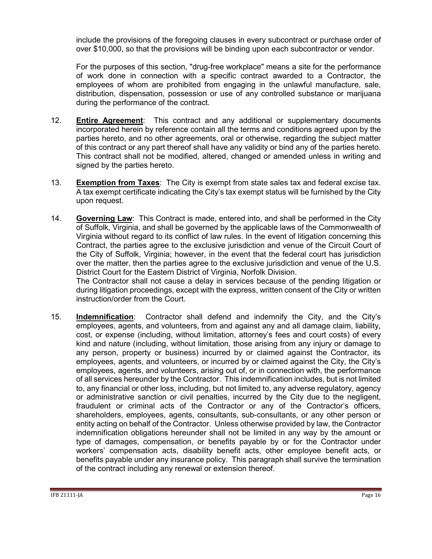include the provisions of the foregoing clauses in every subcontract or purchase order of over \$10,000, so that the provisions will be binding upon each subcontractor or vendor.

For the purposes of this section, "drug-free workplace" means a site for the performance of work done in connection with a specific contract awarded to a Contractor, the employees of whom are prohibited from engaging in the unlawful manufacture, sale, distribution, dispensation, possession or use of any controlled substance or marijuana during the performance of the contract.

- 12. **Entire Agreement**: This contract and any additional or supplementary documents incorporated herein by reference contain all the terms and conditions agreed upon by the parties hereto, and no other agreements, oral or otherwise, regarding the subject matter of this contract or any part thereof shall have any validity or bind any of the parties hereto. This contract shall not be modified, altered, changed or amended unless in writing and signed by the parties hereto.
- 13. **Exemption from Taxes**: The City is exempt from state sales tax and federal excise tax. A tax exempt certificate indicating the City's tax exempt status will be furnished by the City upon request.
- 14. **Governing Law**: This Contract is made, entered into, and shall be performed in the City of Suffolk, Virginia, and shall be governed by the applicable laws of the Commonwealth of Virginia without regard to its conflict of law rules. In the event of litigation concerning this Contract, the parties agree to the exclusive jurisdiction and venue of the Circuit Court of the City of Suffolk, Virginia; however, in the event that the federal court has jurisdiction over the matter, then the parties agree to the exclusive jurisdiction and venue of the U.S. District Court for the Eastern District of Virginia, Norfolk Division.

The Contractor shall not cause a delay in services because of the pending litigation or during litigation proceedings, except with the express, written consent of the City or written instruction/order from the Court.

15. **Indemnification**: Contractor shall defend and indemnify the City, and the City's employees, agents, and volunteers, from and against any and all damage claim, liability, cost, or expense (including, without limitation, attorney's fees and court costs) of every kind and nature (including, without limitation, those arising from any injury or damage to any person, property or business) incurred by or claimed against the Contractor, its employees, agents, and volunteers, or incurred by or claimed against the City, the City's employees, agents, and volunteers, arising out of, or in connection with, the performance of all services hereunder by the Contractor. This indemnification includes, but is not limited to, any financial or other loss, including, but not limited to, any adverse regulatory, agency or administrative sanction or civil penalties, incurred by the City due to the negligent, fraudulent or criminal acts of the Contractor or any of the Contractor's officers, shareholders, employees, agents, consultants, sub-consultants, or any other person or entity acting on behalf of the Contractor. Unless otherwise provided by law, the Contractor indemnification obligations hereunder shall not be limited in any way by the amount or type of damages, compensation, or benefits payable by or for the Contractor under workers' compensation acts, disability benefit acts, other employee benefit acts, or benefits payable under any insurance policy. This paragraph shall survive the termination of the contract including any renewal or extension thereof.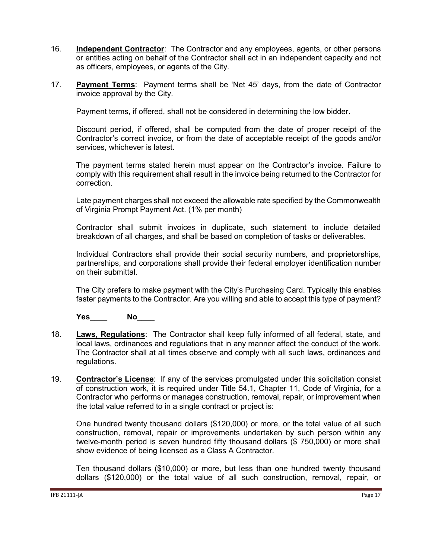- 16. **Independent Contractor**: The Contractor and any employees, agents, or other persons or entities acting on behalf of the Contractor shall act in an independent capacity and not as officers, employees, or agents of the City.
- 17. **Payment Terms**: Payment terms shall be 'Net 45' days, from the date of Contractor invoice approval by the City.

Payment terms, if offered, shall not be considered in determining the low bidder.

Discount period, if offered, shall be computed from the date of proper receipt of the Contractor's correct invoice, or from the date of acceptable receipt of the goods and/or services, whichever is latest.

The payment terms stated herein must appear on the Contractor's invoice. Failure to comply with this requirement shall result in the invoice being returned to the Contractor for correction.

Late payment charges shall not exceed the allowable rate specified by the Commonwealth of Virginia Prompt Payment Act. (1% per month)

Contractor shall submit invoices in duplicate, such statement to include detailed breakdown of all charges, and shall be based on completion of tasks or deliverables.

Individual Contractors shall provide their social security numbers, and proprietorships, partnerships, and corporations shall provide their federal employer identification number on their submittal.

The City prefers to make payment with the City's Purchasing Card. Typically this enables faster payments to the Contractor. Are you willing and able to accept this type of payment?

**Yes**\_\_\_\_ **No**\_\_\_\_

- 18. **Laws, Regulations**: The Contractor shall keep fully informed of all federal, state, and local laws, ordinances and regulations that in any manner affect the conduct of the work. The Contractor shall at all times observe and comply with all such laws, ordinances and regulations.
- 19. **Contractor's License**: If any of the services promulgated under this solicitation consist of construction work, it is required under Title 54.1, Chapter 11, Code of Virginia, for a Contractor who performs or manages construction, removal, repair, or improvement when the total value referred to in a single contract or project is:

One hundred twenty thousand dollars (\$120,000) or more, or the total value of all such construction, removal, repair or improvements undertaken by such person within any twelve-month period is seven hundred fifty thousand dollars (\$ 750,000) or more shall show evidence of being licensed as a Class A Contractor.

Ten thousand dollars (\$10,000) or more, but less than one hundred twenty thousand dollars (\$120,000) or the total value of all such construction, removal, repair, or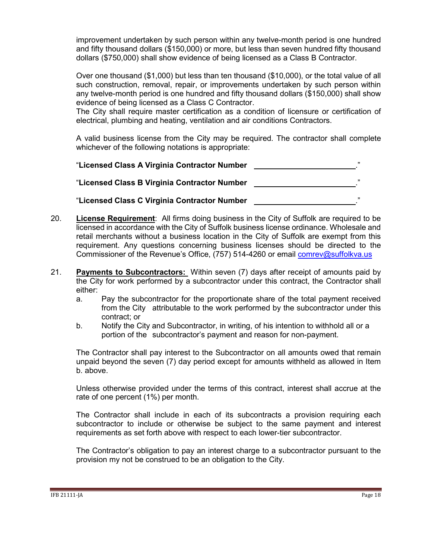improvement undertaken by such person within any twelve-month period is one hundred and fifty thousand dollars (\$150,000) or more, but less than seven hundred fifty thousand dollars (\$750,000) shall show evidence of being licensed as a Class B Contractor.

Over one thousand (\$1,000) but less than ten thousand (\$10,000), or the total value of all such construction, removal, repair, or improvements undertaken by such person within any twelve-month period is one hundred and fifty thousand dollars (\$150,000) shall show evidence of being licensed as a Class C Contractor.

The City shall require master certification as a condition of licensure or certification of electrical, plumbing and heating, ventilation and air conditions Contractors.

A valid business license from the City may be required. The contractor shall complete whichever of the following notations is appropriate:

| "Licensed Class A Virginia Contractor Number | ,, |
|----------------------------------------------|----|
| "Licensed Class B Virginia Contractor Number | ,, |
| "Licensed Class C Virginia Contractor Number | ,, |

- 20. **License Requirement**: All firms doing business in the City of Suffolk are required to be licensed in accordance with the City of Suffolk business license ordinance. Wholesale and retail merchants without a business location in the City of Suffolk are exempt from this requirement. Any questions concerning business licenses should be directed to the Commissioner of the Revenue's Office, (757) 514-4260 or email [comrev@suffolkva.us](mailto:comrev@suffolkva.us)
- 21. **Payments to Subcontractors:** Within seven (7) days after receipt of amounts paid by the City for work performed by a subcontractor under this contract, the Contractor shall either:
	- a. Pay the subcontractor for the proportionate share of the total payment received from the City attributable to the work performed by the subcontractor under this contract; or
	- b. Notify the City and Subcontractor, in writing, of his intention to withhold all or a portion of the subcontractor's payment and reason for non-payment.

The Contractor shall pay interest to the Subcontractor on all amounts owed that remain unpaid beyond the seven (7) day period except for amounts withheld as allowed in Item b. above.

Unless otherwise provided under the terms of this contract, interest shall accrue at the rate of one percent (1%) per month.

The Contractor shall include in each of its subcontracts a provision requiring each subcontractor to include or otherwise be subject to the same payment and interest requirements as set forth above with respect to each lower-tier subcontractor.

The Contractor's obligation to pay an interest charge to a subcontractor pursuant to the provision my not be construed to be an obligation to the City.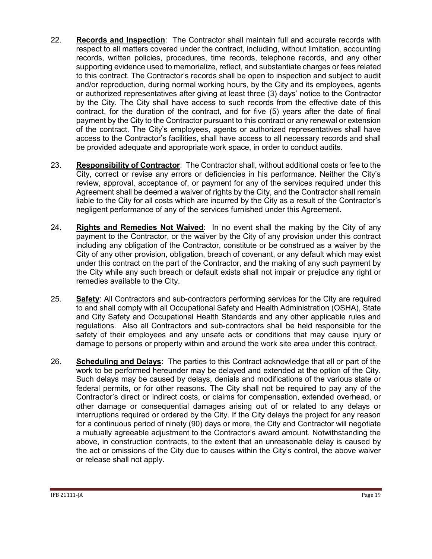- 22. **Records and Inspection**: The Contractor shall maintain full and accurate records with respect to all matters covered under the contract, including, without limitation, accounting records, written policies, procedures, time records, telephone records, and any other supporting evidence used to memorialize, reflect, and substantiate charges or fees related to this contract. The Contractor's records shall be open to inspection and subject to audit and/or reproduction, during normal working hours, by the City and its employees, agents or authorized representatives after giving at least three (3) days' notice to the Contractor by the City. The City shall have access to such records from the effective date of this contract, for the duration of the contract, and for five (5) years after the date of final payment by the City to the Contractor pursuant to this contract or any renewal or extension of the contract. The City's employees, agents or authorized representatives shall have access to the Contractor's facilities, shall have access to all necessary records and shall be provided adequate and appropriate work space, in order to conduct audits.
- 23. **Responsibility of Contractor**: The Contractor shall, without additional costs or fee to the City, correct or revise any errors or deficiencies in his performance. Neither the City's review, approval, acceptance of, or payment for any of the services required under this Agreement shall be deemed a waiver of rights by the City, and the Contractor shall remain liable to the City for all costs which are incurred by the City as a result of the Contractor's negligent performance of any of the services furnished under this Agreement.
- 24. **Rights and Remedies Not Waived**: In no event shall the making by the City of any payment to the Contractor, or the waiver by the City of any provision under this contract including any obligation of the Contractor, constitute or be construed as a waiver by the City of any other provision, obligation, breach of covenant, or any default which may exist under this contract on the part of the Contractor, and the making of any such payment by the City while any such breach or default exists shall not impair or prejudice any right or remedies available to the City.
- 25. **Safety**: All Contractors and sub-contractors performing services for the City are required to and shall comply with all Occupational Safety and Health Administration (OSHA), State and City Safety and Occupational Health Standards and any other applicable rules and regulations. Also all Contractors and sub-contractors shall be held responsible for the safety of their employees and any unsafe acts or conditions that may cause injury or damage to persons or property within and around the work site area under this contract.
- 26. **Scheduling and Delays**: The parties to this Contract acknowledge that all or part of the work to be performed hereunder may be delayed and extended at the option of the City. Such delays may be caused by delays, denials and modifications of the various state or federal permits, or for other reasons. The City shall not be required to pay any of the Contractor's direct or indirect costs, or claims for compensation, extended overhead, or other damage or consequential damages arising out of or related to any delays or interruptions required or ordered by the City. If the City delays the project for any reason for a continuous period of ninety (90) days or more, the City and Contractor will negotiate a mutually agreeable adjustment to the Contractor's award amount. Notwithstanding the above, in construction contracts, to the extent that an unreasonable delay is caused by the act or omissions of the City due to causes within the City's control, the above waiver or release shall not apply.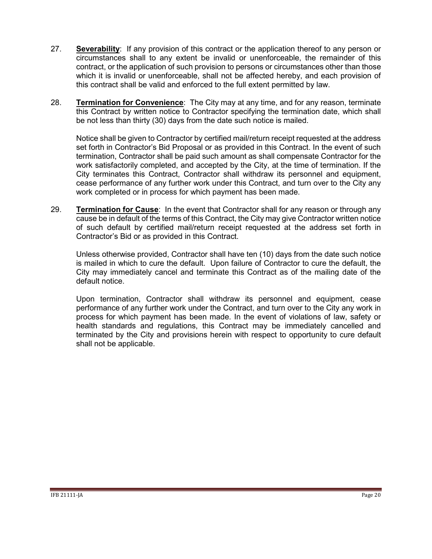- 27. **Severability**: If any provision of this contract or the application thereof to any person or circumstances shall to any extent be invalid or unenforceable, the remainder of this contract, or the application of such provision to persons or circumstances other than those which it is invalid or unenforceable, shall not be affected hereby, and each provision of this contract shall be valid and enforced to the full extent permitted by law.
- 28. **Termination for Convenience**: The City may at any time, and for any reason, terminate this Contract by written notice to Contractor specifying the termination date, which shall be not less than thirty (30) days from the date such notice is mailed.

Notice shall be given to Contractor by certified mail/return receipt requested at the address set forth in Contractor's Bid Proposal or as provided in this Contract. In the event of such termination, Contractor shall be paid such amount as shall compensate Contractor for the work satisfactorily completed, and accepted by the City, at the time of termination. If the City terminates this Contract, Contractor shall withdraw its personnel and equipment, cease performance of any further work under this Contract, and turn over to the City any work completed or in process for which payment has been made.

29. **Termination for Cause**: In the event that Contractor shall for any reason or through any cause be in default of the terms of this Contract, the City may give Contractor written notice of such default by certified mail/return receipt requested at the address set forth in Contractor's Bid or as provided in this Contract.

Unless otherwise provided, Contractor shall have ten (10) days from the date such notice is mailed in which to cure the default. Upon failure of Contractor to cure the default, the City may immediately cancel and terminate this Contract as of the mailing date of the default notice.

Upon termination, Contractor shall withdraw its personnel and equipment, cease performance of any further work under the Contract, and turn over to the City any work in process for which payment has been made. In the event of violations of law, safety or health standards and regulations, this Contract may be immediately cancelled and terminated by the City and provisions herein with respect to opportunity to cure default shall not be applicable.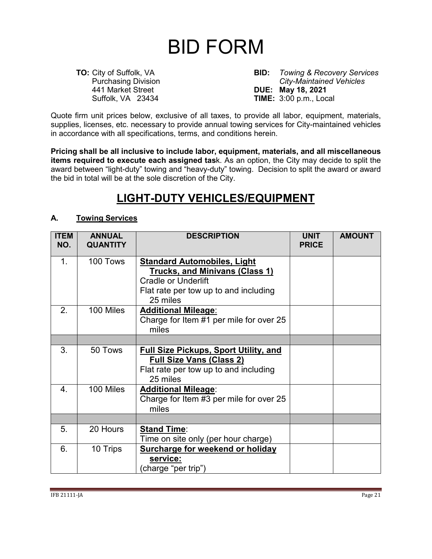# BID FORM

<span id="page-20-0"></span>

**TO:** City of Suffolk, VA **BID:** *Towing & Recovery Services* Purchasing Division *City-Maintained Vehicles* 441 Market Street **DUE: May 18, 2021 TIME:** 3:00 p.m., Local

Quote firm unit prices below, exclusive of all taxes, to provide all labor, equipment, materials, supplies, licenses, etc. necessary to provide annual towing services for City-maintained vehicles in accordance with all specifications, terms, and conditions herein.

**Pricing shall be all inclusive to include labor, equipment, materials, and all miscellaneous items required to execute each assigned tas**k. As an option, the City may decide to split the award between "light-duty" towing and "heavy-duty" towing. Decision to split the award or award the bid in total will be at the sole discretion of the City.

# **LIGHT-DUTY VEHICLES/EQUIPMENT**

#### **A. Towing Services**

| <b>ITEM</b><br>NO. | <b>ANNUAL</b><br><b>QUANTITY</b> | <b>DESCRIPTION</b>                                                                                                                   | <b>UNIT</b><br><b>PRICE</b> | <b>AMOUNT</b> |
|--------------------|----------------------------------|--------------------------------------------------------------------------------------------------------------------------------------|-----------------------------|---------------|
| 1 <sub>1</sub>     | 100 Tows                         | <b>Standard Automobiles, Light</b><br><b>Trucks, and Minivans (Class 1)</b>                                                          |                             |               |
|                    |                                  | <b>Cradle or Underlift</b>                                                                                                           |                             |               |
|                    |                                  | Flat rate per tow up to and including<br>25 miles                                                                                    |                             |               |
| 2.                 | 100 Miles                        | <b>Additional Mileage:</b><br>Charge for Item #1 per mile for over 25<br>miles                                                       |                             |               |
|                    |                                  |                                                                                                                                      |                             |               |
| 3.                 | 50 Tows                          | <b>Full Size Pickups, Sport Utility, and</b><br><b>Full Size Vans (Class 2)</b><br>Flat rate per tow up to and including<br>25 miles |                             |               |
| $\overline{4}$ .   | 100 Miles                        | <b>Additional Mileage:</b><br>Charge for Item #3 per mile for over 25<br>miles                                                       |                             |               |
|                    |                                  |                                                                                                                                      |                             |               |
| 5.                 | 20 Hours                         | <b>Stand Time:</b><br>Time on site only (per hour charge)                                                                            |                             |               |
| 6.                 | 10 Trips                         | <b>Surcharge for weekend or holiday</b><br>service:<br>charge "per trip")                                                            |                             |               |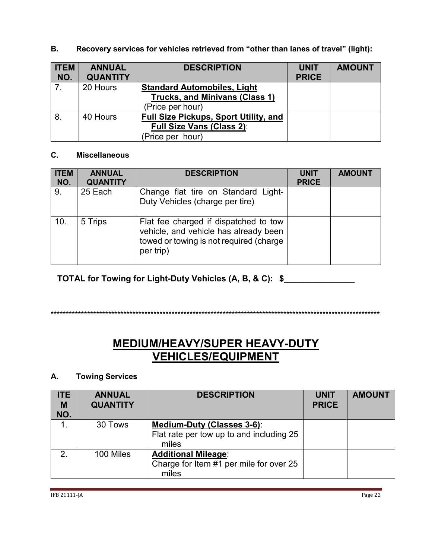| <b>ITEM</b><br>NO. | <b>ANNUAL</b><br><b>QUANTITY</b> | <b>DESCRIPTION</b>                           | <b>UNIT</b><br><b>PRICE</b> | <b>AMOUNT</b> |
|--------------------|----------------------------------|----------------------------------------------|-----------------------------|---------------|
| $\overline{7}$     | 20 Hours                         | <b>Standard Automobiles, Light</b>           |                             |               |
|                    |                                  | Trucks, and Minivans (Class 1)               |                             |               |
|                    |                                  | (Price per hour)                             |                             |               |
| 8.                 | 40 Hours                         | <b>Full Size Pickups, Sport Utility, and</b> |                             |               |
|                    |                                  | <b>Full Size Vans (Class 2):</b>             |                             |               |
|                    |                                  | (Price per hour)                             |                             |               |

**B. Recovery services for vehicles retrieved from "other than lanes of travel" (light):**

#### **C. Miscellaneous**

| <b>ITEM</b><br>NO. | <b>ANNUAL</b><br><b>QUANTITY</b> | <b>DESCRIPTION</b>                                                                                                                     | <b>UNIT</b><br><b>PRICE</b> | <b>AMOUNT</b> |
|--------------------|----------------------------------|----------------------------------------------------------------------------------------------------------------------------------------|-----------------------------|---------------|
| 9.                 | 25 Each                          | Change flat tire on Standard Light-<br>Duty Vehicles (charge per tire)                                                                 |                             |               |
| 10.                | 5 Trips                          | Flat fee charged if dispatched to tow<br>vehicle, and vehicle has already been<br>towed or towing is not required (charge<br>per trip) |                             |               |

**TOTAL for Towing for Light-Duty Vehicles (A, B, & C): \$\_\_\_\_\_\_\_\_\_\_\_\_\_\_\_**

\*\*\*\*\*\*\*\*\*\*\*\*\*\*\*\*\*\*\*\*\*\*\*\*\*\*\*\*\*\*\*\*\*\*\*\*\*\*\*\*\*\*\*\*\*\*\*\*\*\*\*\*\*\*\*\*\*\*\*\*\*\*\*\*\*\*\*\*\*\*\*\*\*\*\*\*\*\*\*\*\*\*\*\*\*\*\*\*\*\*\*\*\*\*\*\*\*\*\*\*\*\*\*\*\*\*\*\*\*

# **MEDIUM/HEAVY/SUPER HEAVY-DUTY VEHICLES/EQUIPMENT**

### **A. Towing Services**

| <b>ITE</b><br>M<br>NO. | <b>ANNUAL</b><br><b>QUANTITY</b> | <b>DESCRIPTION</b>                                                                     | <b>UNIT</b><br><b>PRICE</b> | <b>AMOUNT</b> |
|------------------------|----------------------------------|----------------------------------------------------------------------------------------|-----------------------------|---------------|
| $\mathbf 1$            | 30 Tows                          | <b>Medium-Duty (Classes 3-6):</b><br>Flat rate per tow up to and including 25<br>miles |                             |               |
| 2 <sub>1</sub>         | 100 Miles                        | <b>Additional Mileage:</b><br>Charge for Item #1 per mile for over 25<br>miles         |                             |               |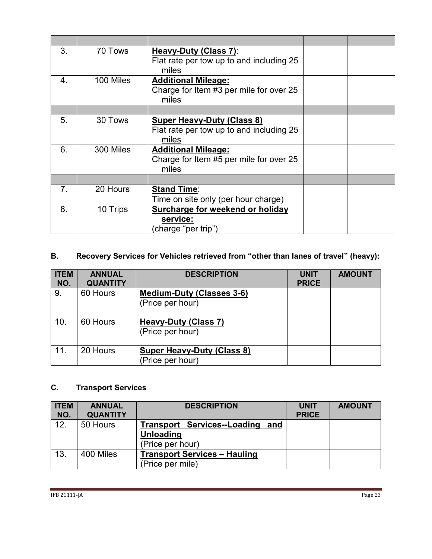| 3.               | 70 Tows   | Heavy-Duty (Class 7):<br>Flat rate per tow up to and including 25<br>miles      |  |
|------------------|-----------|---------------------------------------------------------------------------------|--|
| $\overline{4}$ . | 100 Miles | <b>Additional Mileage:</b><br>Charge for Item #3 per mile for over 25<br>miles  |  |
|                  |           |                                                                                 |  |
| 5.               | 30 Tows   | Super Heavy-Duty (Class 8)<br>Flat rate per tow up to and including 25<br>miles |  |
| 6.               | 300 Miles | <b>Additional Mileage:</b><br>Charge for Item #5 per mile for over 25<br>miles  |  |
|                  |           |                                                                                 |  |
| 7 <sub>1</sub>   | 20 Hours  | <b>Stand Time:</b><br>Time on site only (per hour charge)                       |  |
| 8.               | 10 Trips  | <b>Surcharge for weekend or holiday</b><br>service:<br>(charge "per trip")      |  |

## **B. Recovery Services for Vehicles retrieved from "other than lanes of travel" (heavy):**

| <b>ITEM</b><br>NO. | <b>ANNUAL</b><br><b>QUANTITY</b> | <b>DESCRIPTION</b>                                    | <b>UNIT</b><br><b>PRICE</b> | <b>AMOUNT</b> |
|--------------------|----------------------------------|-------------------------------------------------------|-----------------------------|---------------|
| 9.                 | 60 Hours                         | <b>Medium-Duty (Classes 3-6)</b><br>(Price per hour)  |                             |               |
| 10.                | 60 Hours                         | <b>Heavy-Duty (Class 7)</b><br>(Price per hour)       |                             |               |
| 11.                | 20 Hours                         | <b>Super Heavy-Duty (Class 8)</b><br>(Price per hour) |                             |               |

## **C. Transport Services**

| <b>ITEM</b> | <b>ANNUAL</b>   | <b>DESCRIPTION</b>                  | <b>UNIT</b>  | <b>AMOUNT</b> |
|-------------|-----------------|-------------------------------------|--------------|---------------|
| NO.         | <b>QUANTITY</b> |                                     | <b>PRICE</b> |               |
| 12.         | 50 Hours        | Transport Services--Loading and     |              |               |
|             |                 | <b>Unloading</b>                    |              |               |
|             |                 | (Price per hour)                    |              |               |
| 13.         | 400 Miles       | <b>Transport Services - Hauling</b> |              |               |
|             |                 | (Price per mile)                    |              |               |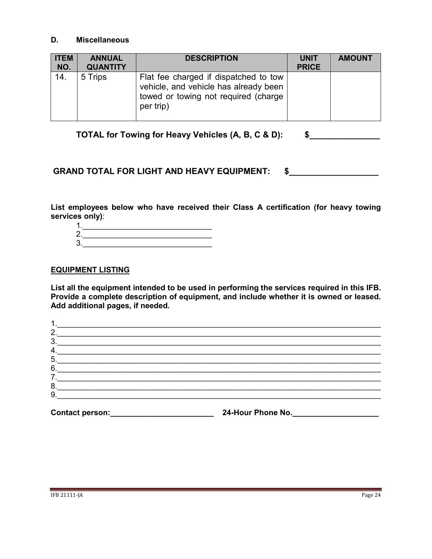#### **D. Miscellaneous**

| <b>ITEM</b><br>NO. | <b>ANNUAL</b><br><b>QUANTITY</b> | <b>DESCRIPTION</b>                                                                                                                  | <b>UNIT</b><br><b>PRICE</b> | <b>AMOUNT</b> |
|--------------------|----------------------------------|-------------------------------------------------------------------------------------------------------------------------------------|-----------------------------|---------------|
| 14.                | 5 Trips                          | Flat fee charged if dispatched to tow<br>vehicle, and vehicle has already been<br>towed or towing not required (charge<br>per trip) |                             |               |

**TOTAL for Towing for Heavy Vehicles (A, B, C & D): \$\_\_\_\_\_\_\_\_\_\_\_\_\_\_\_**

#### GRAND TOTAL FOR LIGHT AND HEAVY EQUIPMENT: \$

**List employees below who have received their Class A certification (for heavy towing services only)**:

| r |  |  |
|---|--|--|
| , |  |  |

#### **EQUIPMENT LISTING**

**List all the equipment intended to be used in performing the services required in this IFB. Provide a complete description of equipment, and include whether it is owned or leased. Add additional pages, if needed.**

| 2. |  |  |
|----|--|--|
| 3. |  |  |
| 4. |  |  |
| 5. |  |  |
| 6. |  |  |
| ⇁  |  |  |
| 8. |  |  |
| 9  |  |  |
|    |  |  |

**Contact person:\_\_\_\_\_\_\_\_\_\_\_\_\_\_\_\_\_\_\_\_\_\_\_\_ 24-Hour Phone No.\_\_\_\_\_\_\_\_\_\_\_\_\_\_\_\_\_\_\_\_**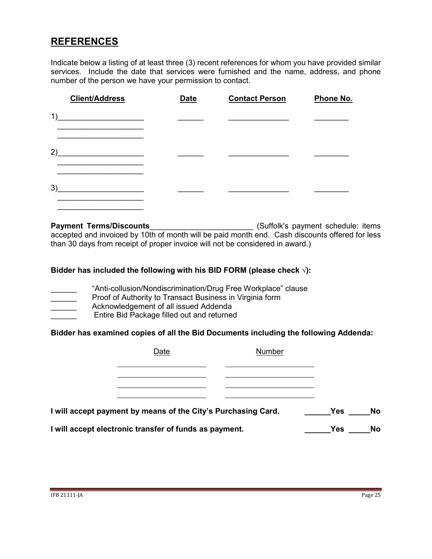# **REFERENCES**

Indicate below a listing of at least three (3) recent references for whom you have provided similar services. Include the date that services were furnished and the name, address, and phone number of the person we have your permission to contact.

| <b>Client/Address</b> | <b>Date</b> | <b>Contact Person</b> | Phone No. |
|-----------------------|-------------|-----------------------|-----------|
| 1)                    |             |                       |           |
| 2)                    |             |                       |           |
| 3)                    |             |                       |           |

**Payment Terms/Discounts**\_\_\_\_\_\_\_\_\_\_\_\_\_\_\_\_\_\_\_\_\_\_\_\_ (Suffolk's payment schedule: items accepted and invoiced by 10th of month will be paid month end. Cash discounts offered for less than 30 days from receipt of proper invoice will not be considered in award.)

#### **Bidder has included the following with his BID FORM (please check √):**

- "Anti-collusion/Nondiscrimination/Drug Free Workplace" clause
	- Proof of Authority to Transact Business in Virginia form
- Acknowledgement of all issued Addenda
- Entire Bid Package filled out and returned

#### **Bidder has examined copies of all the Bid Documents including the following Addenda:**

| Date                                                          | Number |            |           |
|---------------------------------------------------------------|--------|------------|-----------|
|                                                               |        |            |           |
|                                                               |        |            |           |
| I will accept payment by means of the City's Purchasing Card. |        | <b>Yes</b> | <b>No</b> |
| I will accept electronic transfer of funds as payment.        |        | <b>Yes</b> | <b>No</b> |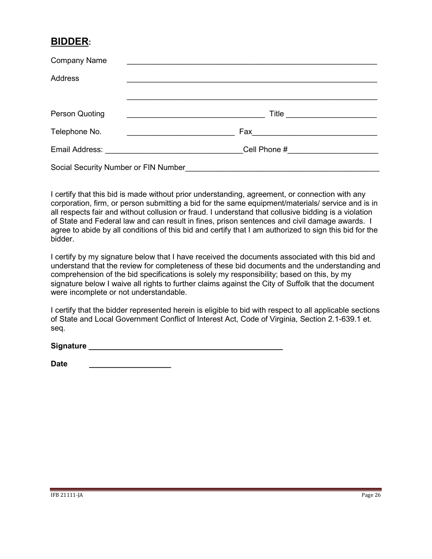# **BIDDER:**

| <b>Company Name</b>                  |       |
|--------------------------------------|-------|
| <b>Address</b>                       |       |
|                                      |       |
| Person Quoting                       | Title |
| Telephone No.                        |       |
|                                      |       |
| Social Security Number or FIN Number |       |

I certify that this bid is made without prior understanding, agreement, or connection with any corporation, firm, or person submitting a bid for the same equipment/materials/ service and is in all respects fair and without collusion or fraud. I understand that collusive bidding is a violation of State and Federal law and can result in fines, prison sentences and civil damage awards. I agree to abide by all conditions of this bid and certify that I am authorized to sign this bid for the bidder.

I certify by my signature below that I have received the documents associated with this bid and understand that the review for completeness of these bid documents and the understanding and comprehension of the bid specifications is solely my responsibility; based on this, by my signature below I waive all rights to further claims against the City of Suffolk that the document were incomplete or not understandable.

I certify that the bidder represented herein is eligible to bid with respect to all applicable sections of State and Local Government Conflict of Interest Act, Code of Virginia, Section 2.1-639.1 et. seq.

| Signature |  |
|-----------|--|
|           |  |
|           |  |

| <b>Date</b> |  |  |  |  |  |
|-------------|--|--|--|--|--|
|             |  |  |  |  |  |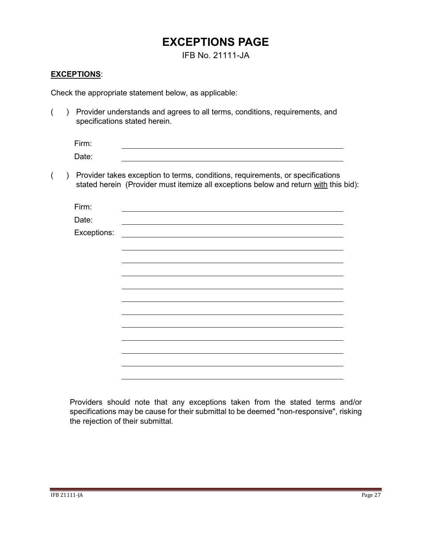# **EXCEPTIONS PAGE**

IFB No. 21111-JA

#### <span id="page-26-0"></span>**EXCEPTIONS**:

Check the appropriate statement below, as applicable:

( ) Provider understands and agrees to all terms, conditions, requirements, and specifications stated herein.

| Firm: |  |
|-------|--|
| Date: |  |

( ) Provider takes exception to terms, conditions, requirements, or specifications stated herein (Provider must itemize all exceptions below and return with this bid):

| Firm:       |  |  |  |
|-------------|--|--|--|
| Date:       |  |  |  |
| Exceptions: |  |  |  |
|             |  |  |  |
|             |  |  |  |
|             |  |  |  |
|             |  |  |  |
|             |  |  |  |
|             |  |  |  |
|             |  |  |  |
|             |  |  |  |
|             |  |  |  |
|             |  |  |  |
|             |  |  |  |
|             |  |  |  |

Providers should note that any exceptions taken from the stated terms and/or specifications may be cause for their submittal to be deemed "non-responsive", risking the rejection of their submittal.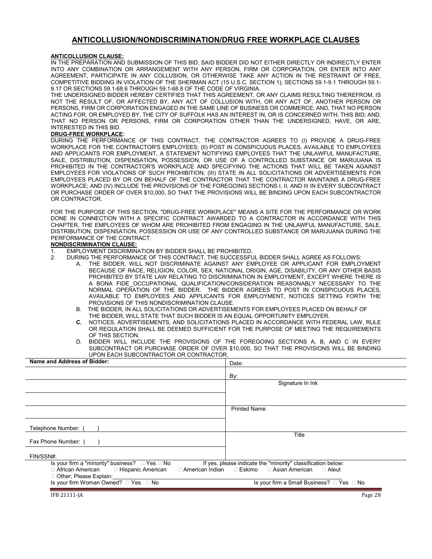#### **ANTICOLLUSION/NONDISCRIMINATION/DRUG FREE WORKPLACE CLAUSES**

#### <span id="page-27-0"></span>**ANTICOLLUSION CLAUSE:**

IN THE PREPARATION AND SUBMISSION OF THIS BID, SAID BIDDER DID NOT EITHER DIRECTLY OR INDIRECTLY ENTER INTO ANY COMBINATION OR ARRANGEMENT WITH ANY PERSON, FIRM OR CORPORATION, OR ENTER INTO ANY AGREEMENT, PARTICIPATE IN ANY COLLUSION, OR OTHERWISE TAKE ANY ACTION IN THE RESTRAINT OF FREE, COMPETITIVE BIDDING IN VIOLATION OF THE SHERMAN ACT (15 U.S.C. SECTION 1), SECTIONS 59.1-9.1 THROUGH 59.1- 9.17 OR SECTIONS 59.1-68.6 THROUGH 59.1-68.8 OF THE CODE OF VIRGINIA.

THE UNDERSIGNED BIDDER HEREBY CERTIFIES THAT THIS AGREEMENT, OR ANY CLAIMS RESULTING THEREFROM, IS NOT THE RESULT OF, OR AFFECTED BY, ANY ACT OF COLLUSION WITH, OR ANY ACT OF, ANOTHER PERSON OR PERSONS, FIRM OR CORPORATION ENGAGED IN THE SAME LINE OF BUSINESS OR COMMERCE; AND, THAT NO PERSON ACTING FOR, OR EMPLOYED BY, THE CITY OF SUFFOLK HAS AN INTEREST IN, OR IS CONCERNED WITH, THIS BID; AND, THAT NO PERSON OR PERSONS, FIRM OR CORPORATION OTHER THAN THE UNDERSIGNED, HAVE, OR ARE, INTERESTED IN THIS BID.

#### **DRUG-FREE WORKPLACE:**

DURING THE PERFORMANCE OF THIS CONTRACT, THE CONTRACTOR AGREES TO (I) PROVIDE A DRUG-FREE WORKPLACE FOR THE CONTRACTOR'S EMPLOYEES; (II) POST IN CONSPICUOUS PLACES, AVAILABLE TO EMPLOYEES AND APPLICANTS FOR EMPLOYMENT, A STATEMENT NOTIFYING EMPLOYEES THAT THE UNLAWFUL MANUFACTURE, SALE, DISTRIBUTION, DISPENSATION, POSSESSION, OR USE OF A CONTROLLED SUBSTANCE OR MARIJUANA IS PROHIBITED IN THE CONTRACTOR'S WORKPLACE AND SPECIFYING THE ACTIONS THAT WILL BE TAKEN AGAINST EMPLOYEES FOR VIOLATIONS OF SUCH PROHIBITION; (III) STATE IN ALL SOLICITATIONS OR ADVERTISEMENTS FOR EMPLOYEES PLACED BY OR ON BEHALF OF THE CONTRACTOR THAT THE CONTRACTOR MAINTAINS A DRUG-FREE WORKPLACE; AND (IV) INCLUDE THE PROVISIONS OF THE FOREGOING SECTIONS I, II, AND III IN EVERY SUBCONTRACT OR PURCHASE ORDER OF OVER \$10,000, SO THAT THE PROVISIONS WILL BE BINDING UPON EACH SUBCONTRACTOR OR CONTRACTOR.

FOR THE PURPOSE OF THIS SECTION, "DRUG-FREE WORKPLACE" MEANS A SITE FOR THE PERFORMANCE OR WORK DONE IN CONNECTION WITH A SPECIFIC CONTRACT AWARDED TO A CONTRACTOR IN ACCORDANCE WITH THIS CHAPTER, THE EMPLOYEES OF WHOM ARE PROHIBITED FROM ENGAGING IN THE UNLAWFUL MANUFACTURE, SALE, DISTRIBUTION, DISPENSATION, POSSESSION OR USE OF ANY CONTROLLED SUBSTANCE OR MARIJUANA DURING THE PERFORMANCE OF THE CONTRACT.

#### **NONDISCRIMINATION CLAUSE:**

- 1. EMPLOYMENT DISCRIMINATION BY BIDDER SHALL BE PROHIBITED.<br>2. DURING THE PERFORMANCE OF THIS CONTRACT. THE SUCCESSEL
	- 2. DURING THE PERFORMANCE OF THIS CONTRACT, THE SUCCESSFUL BIDDER SHALL AGREE AS FOLLOWS:
		- THE BIDDER, WILL NOT DISCRIMINATE AGAINST ANY EMPLOYEE OR APPLICANT FOR EMPLOYMENT BECAUSE OF RACE, RELIGION, COLOR, SEX, NATIONAL ORIGIN, AGE, DISABILITY, OR ANY OTHER BASIS PROHIBITED BY STATE LAW RELATING TO DISCRIMINATION IN EMPLOYMENT, EXCEPT WHERE THERE IS A BONA FIDE OCCUPATIONAL QUALIFICATION/CONSIDERATION REASONABLY NECESSARY TO THE NORMAL OPERATION OF THE BIDDER. THE BIDDER AGREES TO POST IN CONSPICUOUS PLACES, AVAILABLE TO EMPLOYEES AND APPLICANTS FOR EMPLOYMENT, NOTICES SETTING FORTH THE PROVISIONS OF THIS NONDISCRIMINATION CLAUSE.
		- B. THE BIDDER, IN ALL SOLICITATIONS OR ADVERTISEMENTS FOR EMPLOYEES PLACED ON BEHALF OF THE BIDDER, WILL STATE THAT SUCH BIDDER IS AN EQUAL OPPORTUNITY EMPLOYER.<br>C. NOTICES ADVERTISEMENTS AND SOLICITATIONS PLACED IN ACCORDANCE WITH FFI
		- **C.** NOTICES, ADVERTISEMENTS, AND SOLICITATIONS PLACED IN ACCORDANCE WITH FEDERAL LAW, RULE OR REGULATION SHALL BE DEEMED SUFFICIENT FOR THE PURPOSE OF MEETING THE REQUIREMENTS OF THIS SECTION.
		- D. BIDDER WILL INCLUDE THE PROVISIONS OF THE FOREGOING SECTIONS A, B, AND C IN EVERY SUBCONTRACT OR PURCHASE ORDER OF OVER \$10,000, SO THAT THE PROVISIONS WILL BE BINDING UPON EACH SUBCONTRACTOR OR CONTRACTOR.

| Name and Address of Bidder:                                      | Date:                                                        |
|------------------------------------------------------------------|--------------------------------------------------------------|
|                                                                  | By:                                                          |
|                                                                  | Signature In Ink                                             |
|                                                                  |                                                              |
|                                                                  |                                                              |
|                                                                  | <b>Printed Name</b>                                          |
| Telephone Number:                                                |                                                              |
| Fax Phone Number: (                                              | Title                                                        |
| FIN/SSN#:                                                        |                                                              |
| Is your firm a "minority" business? $\Box$ Yes $\Box$ No         | If yes, please indicate the "minority" classification below: |
| □ African American<br>□ American Indian<br>□ Hispanic American   | ⊟ Eskimo<br>□ Asian American<br>$\Box$ Aleut                 |
| □ Other; Please Explain:<br>Is your firm Woman Owned? □ Yes □ No | Is your firm a Small Business? □ Yes □ No                    |
| IFB 21111-JA                                                     | Page 28                                                      |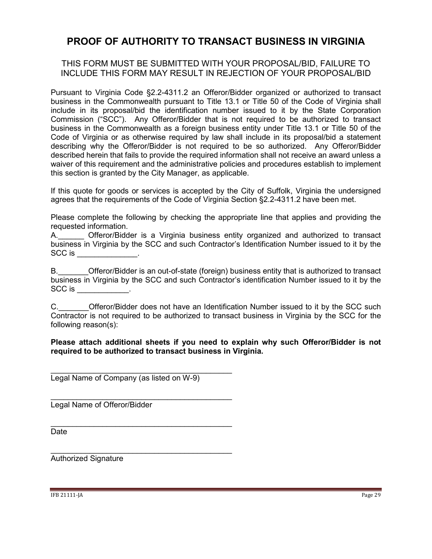## <span id="page-28-0"></span>**PROOF OF AUTHORITY TO TRANSACT BUSINESS IN VIRGINIA**

#### THIS FORM MUST BE SUBMITTED WITH YOUR PROPOSAL/BID, FAILURE TO INCLUDE THIS FORM MAY RESULT IN REJECTION OF YOUR PROPOSAL/BID

Pursuant to Virginia Code §2.2-4311.2 an Offeror/Bidder organized or authorized to transact business in the Commonwealth pursuant to Title 13.1 or Title 50 of the Code of Virginia shall include in its proposal/bid the identification number issued to it by the State Corporation Commission ("SCC"). Any Offeror/Bidder that is not required to be authorized to transact business in the Commonwealth as a foreign business entity under Title 13.1 or Title 50 of the Code of Virginia or as otherwise required by law shall include in its proposal/bid a statement describing why the Offeror/Bidder is not required to be so authorized. Any Offeror/Bidder described herein that fails to provide the required information shall not receive an award unless a waiver of this requirement and the administrative policies and procedures establish to implement this section is granted by the City Manager, as applicable.

If this quote for goods or services is accepted by the City of Suffolk, Virginia the undersigned agrees that the requirements of the Code of Virginia Section §2.2-4311.2 have been met.

Please complete the following by checking the appropriate line that applies and providing the requested information.

A. Cfferor/Bidder is a Virginia business entity organized and authorized to transact business in Virginia by the SCC and such Contractor's Identification Number issued to it by the SCC is \_\_\_\_\_\_\_\_\_\_.

B. Offeror/Bidder is an out-of-state (foreign) business entity that is authorized to transact business in Virginia by the SCC and such Contractor's identification Number issued to it by the SCC is \_\_\_\_\_\_\_\_\_\_\_.

C. C. Cital Offeror/Bidder does not have an Identification Number issued to it by the SCC such Contractor is not required to be authorized to transact business in Virginia by the SCC for the following reason(s):

#### **Please attach additional sheets if you need to explain why such Offeror/Bidder is not required to be authorized to transact business in Virginia.**

\_\_\_\_\_\_\_\_\_\_\_\_\_\_\_\_\_\_\_\_\_\_\_\_\_\_\_\_\_\_\_\_\_\_\_\_\_\_\_\_\_\_ Legal Name of Company (as listed on W-9)

\_\_\_\_\_\_\_\_\_\_\_\_\_\_\_\_\_\_\_\_\_\_\_\_\_\_\_\_\_\_\_\_\_\_\_\_\_\_\_\_\_\_

\_\_\_\_\_\_\_\_\_\_\_\_\_\_\_\_\_\_\_\_\_\_\_\_\_\_\_\_\_\_\_\_\_\_\_\_\_\_\_\_\_\_

\_\_\_\_\_\_\_\_\_\_\_\_\_\_\_\_\_\_\_\_\_\_\_\_\_\_\_\_\_\_\_\_\_\_\_\_\_\_\_\_\_\_ Legal Name of Offeror/Bidder

Date

Authorized Signature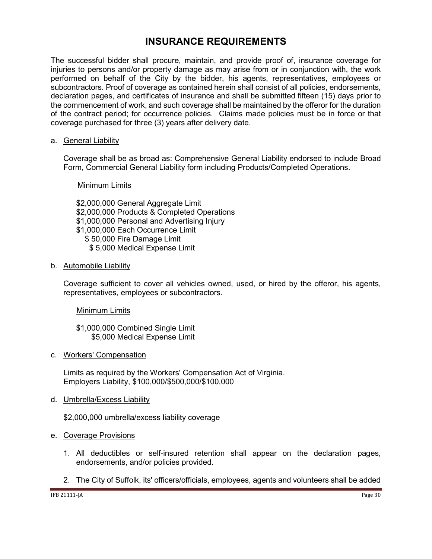## **INSURANCE REQUIREMENTS**

<span id="page-29-0"></span>The successful bidder shall procure, maintain, and provide proof of, insurance coverage for injuries to persons and/or property damage as may arise from or in conjunction with, the work performed on behalf of the City by the bidder, his agents, representatives, employees or subcontractors. Proof of coverage as contained herein shall consist of all policies, endorsements, declaration pages, and certificates of insurance and shall be submitted fifteen (15) days prior to the commencement of work, and such coverage shall be maintained by the offeror for the duration of the contract period; for occurrence policies. Claims made policies must be in force or that coverage purchased for three (3) years after delivery date.

#### a. General Liability

Coverage shall be as broad as: Comprehensive General Liability endorsed to include Broad Form, Commercial General Liability form including Products/Completed Operations.

#### Minimum Limits

\$2,000,000 General Aggregate Limit \$2,000,000 Products & Completed Operations \$1,000,000 Personal and Advertising Injury \$1,000,000 Each Occurrence Limit \$ 50,000 Fire Damage Limit \$ 5,000 Medical Expense Limit

#### b. Automobile Liability

Coverage sufficient to cover all vehicles owned, used, or hired by the offeror, his agents, representatives, employees or subcontractors.

#### Minimum Limits

\$1,000,000 Combined Single Limit \$5,000 Medical Expense Limit

#### c. Workers' Compensation

Limits as required by the Workers' Compensation Act of Virginia. Employers Liability, \$100,000/\$500,000/\$100,000

#### d. Umbrella/Excess Liability

\$2,000,000 umbrella/excess liability coverage

#### e. Coverage Provisions

- 1. All deductibles or self-insured retention shall appear on the declaration pages, endorsements, and/or policies provided.
- 2. The City of Suffolk, its' officers/officials, employees, agents and volunteers shall be added